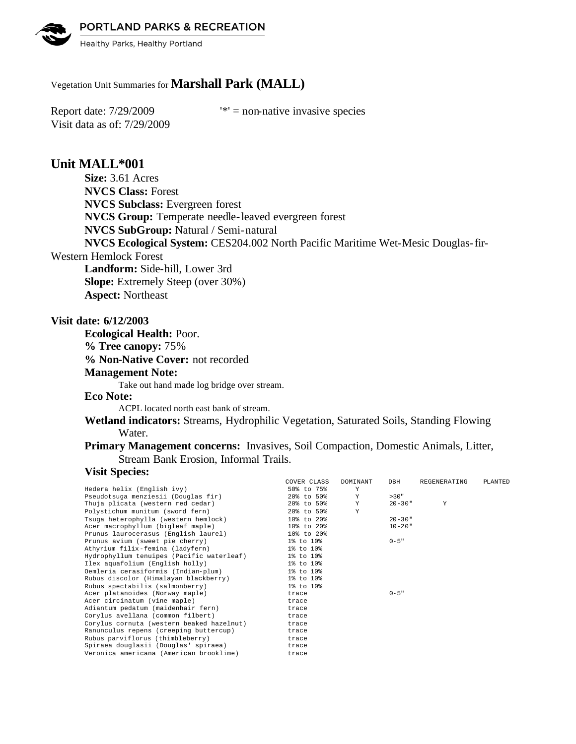PORTLAND PARKS & RECREATION

Healthy Parks, Healthy Portland

# Vegetation Unit Summaries for **Marshall Park (MALL)**

Visit data as of: 7/29/2009

Report date:  $7/29/2009$  '\*' = non-native invasive species

# **Unit MALL\*001**

**Size:** 3.61 Acres **NVCS Class:** Forest **NVCS Subclass:** Evergreen forest **NVCS Group:** Temperate needle-leaved evergreen forest **NVCS SubGroup:** Natural / Semi-natural **NVCS Ecological System:** CES204.002 North Pacific Maritime Wet-Mesic Douglas-fir-Western Hemlock Forest

**Landform:** Side-hill, Lower 3rd **Slope:** Extremely Steep (over 30%) **Aspect:** Northeast

### **Visit date: 6/12/2003**

**Ecological Health:** Poor. **% Tree canopy:** 75% **% Non-Native Cover:** not recorded **Management Note:** Take out hand made log bridge over stream.

**Eco Note:**

ACPL located north east bank of stream.

- **Wetland indicators:** Streams, Hydrophilic Vegetation, Saturated Soils, Standing Flowing Water.
- **Primary Management concerns:** Invasives, Soil Compaction, Domestic Animals, Litter, Stream Bank Erosion, Informal Trails.

### **Visit Species:**

|                                           | COVER CLASS      | DOMINANT | DBH         | REGENERATING | PLANTED |
|-------------------------------------------|------------------|----------|-------------|--------------|---------|
| Hedera helix (English ivy)                | 50% to 75%       | Y        |             |              |         |
| Pseudotsuga menziesii (Douglas fir)       | $20\%$ to 50%    | Y        | >30"        |              |         |
| Thuja plicata (western red cedar)         | 20% to 50%       | Y        | $20 - 30$ " | Y            |         |
| Polystichum munitum (sword fern)          | 20% to 50%       | Y        |             |              |         |
| Tsuga heterophylla (western hemlock)      | 10% to 20%       |          | $20 - 30$ " |              |         |
| Acer macrophyllum (bigleaf maple)         | 10% to 20%       |          | $10 - 20$ " |              |         |
| Prunus laurocerasus (English laurel)      | $10\%$ to $20\%$ |          |             |              |         |
| Prunus avium (sweet pie cherry)           | 1% to 10%        |          | $0 - 5$ "   |              |         |
| Athyrium filix-femina (ladyfern)          | 1% to 10%        |          |             |              |         |
| Hydrophyllum tenuipes (Pacific waterleaf) | 1% to 10%        |          |             |              |         |
| Ilex aquafolium (English holly)           | 1% to 10%        |          |             |              |         |
| Oemleria cerasiformis (Indian-plum)       | 1% to 10%        |          |             |              |         |
| Rubus discolor (Himalayan blackberry)     | 1% to 10%        |          |             |              |         |
| Rubus spectabilis (salmonberry)           | $1\%$ to $10\%$  |          |             |              |         |
| Acer platanoides (Norway maple)           | trace            |          | $0 - 5$ "   |              |         |
| Acer circinatum (vine maple)              | trace            |          |             |              |         |
| Adiantum pedatum (maidenhair fern)        | trace            |          |             |              |         |
| Corylus avellana (common filbert)         | trace            |          |             |              |         |
| Corylus cornuta (western beaked hazelnut) | trace            |          |             |              |         |
| Ranunculus repens (creeping buttercup)    | trace            |          |             |              |         |
| Rubus parviflorus (thimbleberry)          | trace            |          |             |              |         |
| Spiraea douglasii (Douglas' spiraea)      | trace            |          |             |              |         |
| Veronica americana (American brooklime)   | trace            |          |             |              |         |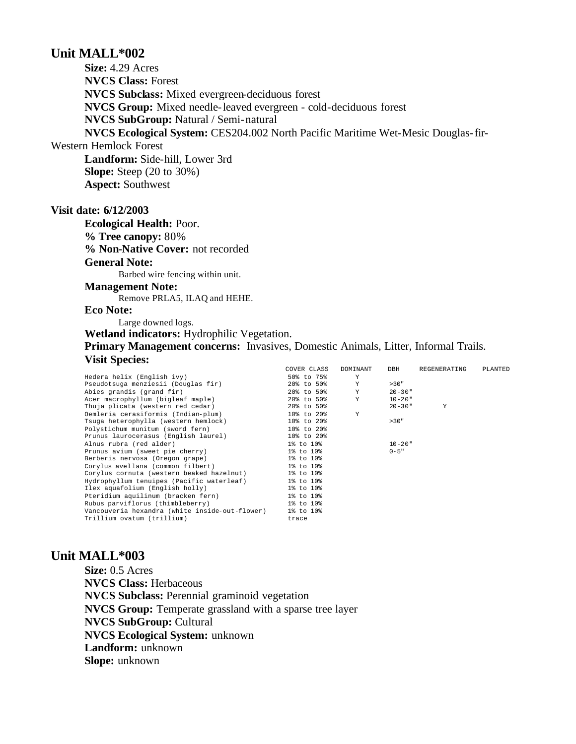# **Unit MALL\*002**

**Size:** 4.29 Acres **NVCS Class:** Forest **NVCS Subclass:** Mixed evergreen-deciduous forest **NVCS Group:** Mixed needle-leaved evergreen - cold-deciduous forest **NVCS SubGroup:** Natural / Semi-natural **NVCS Ecological System:** CES204.002 North Pacific Maritime Wet-Mesic Douglas-fir-Western Hemlock Forest

**Landform:** Side-hill, Lower 3rd **Slope:** Steep (20 to 30%) **Aspect:** Southwest

### **Visit date: 6/12/2003**

**Ecological Health:** Poor. **% Tree canopy:** 80% **% Non-Native Cover:** not recorded **General Note:** Barbed wire fencing within unit. **Management Note:** Remove PRLA5, ILAQ and HEHE. **Eco Note:** Large downed logs.

**Wetland indicators:** Hydrophilic Vegetation. **Primary Management concerns:** Invasives, Domestic Animals, Litter, Informal Trails. **Visit Species:** 

|                                                     | COVER CLASS | DOMINANT | DBH         | REGENERATING | PLANTED |
|-----------------------------------------------------|-------------|----------|-------------|--------------|---------|
| Hedera helix (English ivy)                          | 50% to 75%  | Υ        |             |              |         |
| Pseudotsuga menziesii (Douglas fir)                 | 20% to 50%  | Y        | >30"        |              |         |
| Abies grandis (grand fir)                           | 20% to 50%  | Y        | $20 - 30$ " |              |         |
| Acer macrophyllum (bigleaf maple)                   | 20% to 50%  | Y        | $10 - 20$ " |              |         |
| Thuja plicata (western red cedar)                   | 20% to 50%  |          | $20 - 30$ " | Y            |         |
| Oemleria cerasiformis (Indian-plum)                 | 10% to 20%  | Y        |             |              |         |
| Tsuga heterophylla (western hemlock)                | 10% to 20%  |          | >30"        |              |         |
| Polystichum munitum (sword fern)                    | 10% to 20%  |          |             |              |         |
| Prunus laurocerasus (English laurel)                | 10% to 20%  |          |             |              |         |
| Alnus rubra (red alder)                             | 1% to 10%   |          | $10 - 20$ " |              |         |
| Prunus avium (sweet pie cherry)                     | 1% to 10%   |          | $0 - 5$ "   |              |         |
| Berberis nervosa (Oregon grape)                     | 1% to 10%   |          |             |              |         |
| Corylus avellana (common filbert)                   | 1% to 10%   |          |             |              |         |
| Corylus cornuta (western beaked hazelnut) 1% to 10% |             |          |             |              |         |
| Hydrophyllum tenuipes (Pacific waterleaf)           | 1% to 10%   |          |             |              |         |
| Ilex aquafolium (English holly)                     | 1% to 10%   |          |             |              |         |
| Pteridium aquilinum (bracken fern)                  | 1% to 10%   |          |             |              |         |
| Rubus parviflorus (thimbleberry)                    | 1% to 10%   |          |             |              |         |
| Vancouveria hexandra (white inside-out-flower)      | 1% to 10%   |          |             |              |         |
| Trillium ovatum (trillium)                          | trace       |          |             |              |         |

# **Unit MALL\*003**

**Size:** 0.5 Acres **NVCS Class:** Herbaceous **NVCS Subclass:** Perennial graminoid vegetation **NVCS Group:** Temperate grassland with a sparse tree layer **NVCS SubGroup:** Cultural **NVCS Ecological System:** unknown **Landform:** unknown **Slope:** unknown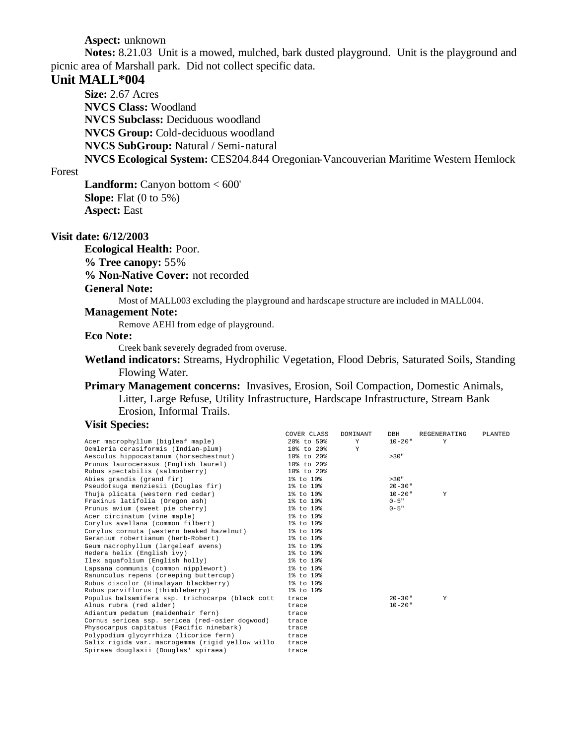### **Aspect:** unknown

**Notes:** 8.21.03 Unit is a mowed, mulched, bark dusted playground. Unit is the playground and picnic area of Marshall park. Did not collect specific data.

# **Unit MALL\*004**

**Size:** 2.67 Acres **NVCS Class:** Woodland **NVCS Subclass:** Deciduous woodland **NVCS Group:** Cold-deciduous woodland **NVCS SubGroup:** Natural / Semi-natural **NVCS Ecological System:** CES204.844 Oregonian-Vancouverian Maritime Western Hemlock

### Forest

**Landform:** Canyon bottom < 600' **Slope:** Flat (0 to 5%) **Aspect:** East

#### **Visit date: 6/12/2003**

**Ecological Health:** Poor.

**% Tree canopy:** 55%

**% Non-Native Cover:** not recorded

#### **General Note:**

Most of MALL003 excluding the playground and hardscape structure are included in MALL004.

### **Management Note:**

Remove AEHI from edge of playground.

# **Eco Note:**

Creek bank severely degraded from overuse.

**Wetland indicators:** Streams, Hydrophilic Vegetation, Flood Debris, Saturated Soils, Standing Flowing Water.

### **Primary Management concerns:** Invasives, Erosion, Soil Compaction, Domestic Animals, Litter, Large Refuse, Utility Infrastructure, Hardscape Infrastructure, Stream Bank Erosion, Informal Trails.

### **Visit Species:**

|                                                  | COVER CLASS    | DOMINANT | DBH         | REGENERATING | PLANTED |
|--------------------------------------------------|----------------|----------|-------------|--------------|---------|
| Acer macrophyllum (bigleaf maple)                | $20\%$ to 50%  | Y        | $10 - 20$ " | Y            |         |
| Oemleria cerasiformis (Indian-plum)              | 10% to 20%     | Y        |             |              |         |
| Aesculus hippocastanum (horsechestnut)           | 10% to 20%     |          | >30"        |              |         |
| Prunus laurocerasus (English laurel)             | $108$ to $208$ |          |             |              |         |
| Rubus spectabilis (salmonberry)                  | 10% to 20%     |          |             |              |         |
| Abies grandis (grand fir)                        | 1% to 10%      |          | >30"        |              |         |
| Pseudotsuga menziesii (Douglas fir)              | 1% to 10%      |          | $20 - 30$ " |              |         |
| Thuja plicata (western red cedar)                | 1% to 10%      |          | $10 - 20$ " | Y            |         |
| Fraxinus latifolia (Oregon ash)                  | 1% to 10%      |          | $0 - 5$ "   |              |         |
| Prunus avium (sweet pie cherry)                  | 1% to 10%      |          | $0 - 5$ "   |              |         |
| Acer circinatum (vine maple)                     | 1% to 10%      |          |             |              |         |
| Corylus avellana (common filbert)                | 1% to 10%      |          |             |              |         |
| Corylus cornuta (western beaked hazelnut)        | 1% to 10%      |          |             |              |         |
| Geranium robertianum (herb-Robert)               | 1% to 10%      |          |             |              |         |
| Geum macrophyllum (largeleaf avens)              | 1% to 10%      |          |             |              |         |
| Hedera helix (English ivy)                       | 1% to 10%      |          |             |              |         |
| Ilex aquafolium (English holly)                  | 1% to 10%      |          |             |              |         |
| Lapsana communis (common nipplewort)             | 1% to 10%      |          |             |              |         |
| Ranunculus repens (creeping buttercup)           | 1% to 10%      |          |             |              |         |
| Rubus discolor (Himalayan blackberry)            | 1% to 10%      |          |             |              |         |
| Rubus parviflorus (thimbleberry)                 | 1% to 10%      |          |             |              |         |
| Populus balsamifera ssp. trichocarpa (black cott | trace          |          | $20 - 30$ " | Y            |         |
| Alnus rubra (red alder)                          | trace          |          | $10 - 20$ " |              |         |
| Adiantum pedatum (maidenhair fern)               | trace          |          |             |              |         |
| Cornus sericea ssp. sericea (red-osier dogwood)  | trace          |          |             |              |         |
| Physocarpus capitatus (Pacific ninebark)         | trace          |          |             |              |         |
| Polypodium glycyrrhiza (licorice fern)           | trace          |          |             |              |         |
| Salix rigida var. macrogemma (rigid yellow willo | trace          |          |             |              |         |
| Spiraea douglasii (Douglas' spiraea)             | trace          |          |             |              |         |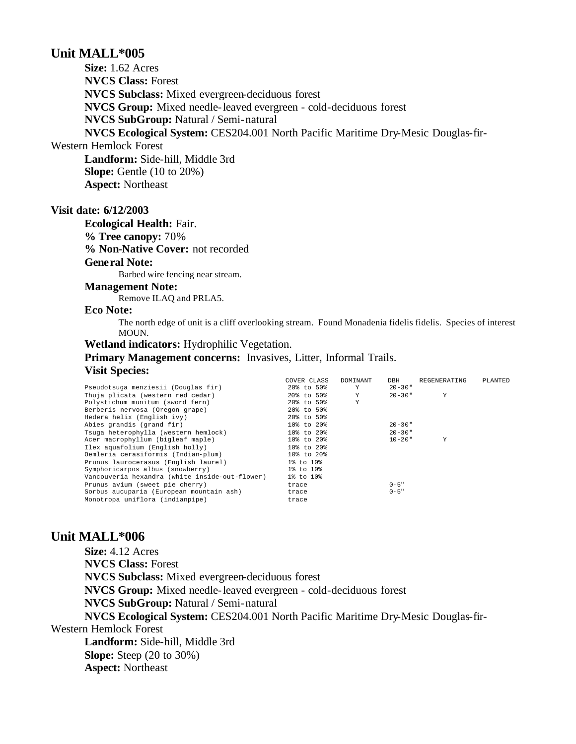# **Unit MALL\*005**

**Size:** 1.62 Acres **NVCS Class:** Forest **NVCS Subclass:** Mixed evergreen-deciduous forest **NVCS Group:** Mixed needle-leaved evergreen - cold-deciduous forest **NVCS SubGroup:** Natural / Semi-natural **NVCS Ecological System:** CES204.001 North Pacific Maritime Dry-Mesic Douglas-fir-

Western Hemlock Forest

**Landform:** Side-hill, Middle 3rd **Slope:** Gentle (10 to 20%) **Aspect:** Northeast

### **Visit date: 6/12/2003**

**Ecological Health:** Fair. **% Tree canopy:** 70% **% Non-Native Cover:** not recorded

# **General Note:**

Barbed wire fencing near stream.

### **Management Note:**

Remove ILAQ and PRLA5.

### **Eco Note:**

The north edge of unit is a cliff overlooking stream. Found Monadenia fidelis fidelis. Species of interest MOUN.

### **Wetland indicators:** Hydrophilic Vegetation.

**Primary Management concerns:** Invasives, Litter, Informal Trails.

#### **Visit Species:**

|                                                | COVER CLASS      | DOMINANT | DBH         | REGENERATING | PLANTED |
|------------------------------------------------|------------------|----------|-------------|--------------|---------|
| Pseudotsuga menziesii (Douglas fir)            | 20% to 50%       | Y        | $20 - 30$ " |              |         |
| Thuja plicata (western red cedar)              | 20% to 50%       | Y        | $20 - 30$ " | Υ            |         |
| Polystichum munitum (sword fern)               | 20% to 50%       | Υ        |             |              |         |
| Berberis nervosa (Oregon grape)                | 20% to 50%       |          |             |              |         |
| Hedera helix (English ivy)                     | 20% to 50%       |          |             |              |         |
| Abies grandis (grand fir)                      | 10% to 20%       |          | $20 - 30$ " |              |         |
| Tsuga heterophylla (western hemlock)           | $10\%$ to $20\%$ |          | $20 - 30$ " |              |         |
| Acer macrophyllum (bigleaf maple)              | 10% to 20%       |          | $10 - 20$ " | Y            |         |
| Ilex aguafolium (English holly)                | 10% to 20%       |          |             |              |         |
| Oemleria cerasiformis (Indian-plum)            | 10% to 20%       |          |             |              |         |
| Prunus laurocerasus (English laurel)           | 1% to 10%        |          |             |              |         |
| Symphoricarpos albus (snowberry)               | 1% to 10%        |          |             |              |         |
| Vancouveria hexandra (white inside-out-flower) | 1% to 10%        |          |             |              |         |
| Prunus avium (sweet pie cherry)                | trace            |          | $0 - 5$ "   |              |         |
| Sorbus aucuparia (European mountain ash)       | trace            |          | $0 - 5$ "   |              |         |
| Monotropa uniflora (indianpipe)                | trace            |          |             |              |         |
|                                                |                  |          |             |              |         |

# **Unit MALL\*006**

**Size:** 4.12 Acres **NVCS Class:** Forest **NVCS Subclass:** Mixed evergreen-deciduous forest **NVCS Group:** Mixed needle-leaved evergreen - cold-deciduous forest **NVCS SubGroup:** Natural / Semi-natural **NVCS Ecological System:** CES204.001 North Pacific Maritime Dry-Mesic Douglas-fir-Western Hemlock Forest **Landform:** Side-hill, Middle 3rd **Slope:** Steep (20 to 30%) **Aspect:** Northeast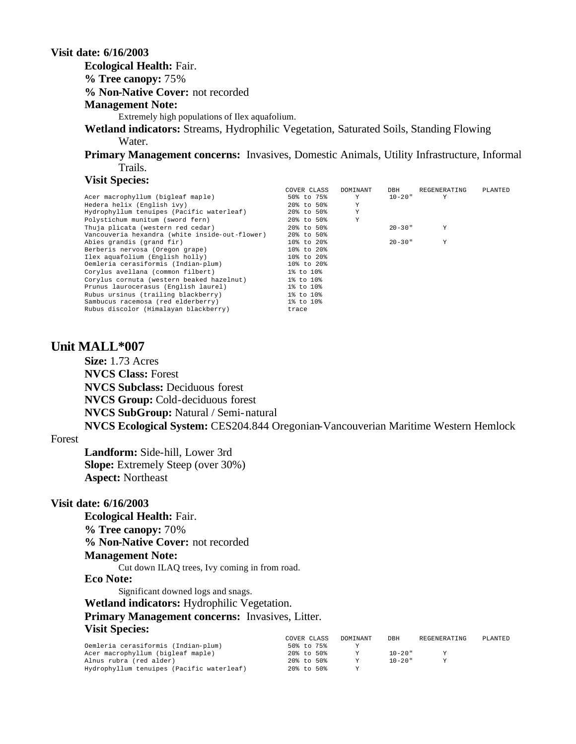# **Visit date: 6/16/2003**

**Ecological Health:** Fair.

**% Tree canopy:** 75%

**% Non-Native Cover:** not recorded

#### **Management Note:**

Extremely high populations of Ilex aquafolium.

**Wetland indicators:** Streams, Hydrophilic Vegetation, Saturated Soils, Standing Flowing Water.

**Primary Management concerns:** Invasives, Domestic Animals, Utility Infrastructure, Informal Trails.

#### **Visit Species:**

|                                                | COVER CLASS | DOMINANT | DBH         | REGENERATING | PLANTED |
|------------------------------------------------|-------------|----------|-------------|--------------|---------|
| Acer macrophyllum (bigleaf maple)              | 50% to 75%  | Y        | $10 - 20$ " | Υ            |         |
| Hedera helix (English ivy)                     | 20% to 50%  | Υ        |             |              |         |
| Hydrophyllum tenuipes (Pacific waterleaf)      | 20% to 50%  | Y        |             |              |         |
| Polystichum munitum (sword fern)               | 20% to 50%  | Υ        |             |              |         |
| Thuja plicata (western red cedar)              | 20% to 50%  |          | $20 - 30$ " | Υ            |         |
| Vancouveria hexandra (white inside-out-flower) | 20% to 50%  |          |             |              |         |
| Abies grandis (grand fir)                      | 10% to 20%  |          | $20 - 30$ " | Y            |         |
| Berberis nervosa (Oregon grape)                | 10% to 20%  |          |             |              |         |
| Ilex aquafolium (English holly)                | 10% to 20%  |          |             |              |         |
| Oemleria cerasiformis (Indian-plum)            | 10% to 20%  |          |             |              |         |
| Corylus avellana (common filbert)              | 1% to 10%   |          |             |              |         |
| Corvlus cornuta (western beaked hazelnut)      | 1% to 10%   |          |             |              |         |
| Prunus laurocerasus (English laurel)           | 1% to 10%   |          |             |              |         |
| Rubus ursinus (trailing blackberry)            | 1% to 10%   |          |             |              |         |
| Sambucus racemosa (red elderberry)             | 1% to 10%   |          |             |              |         |
| Rubus discolor (Himalayan blackberry)          | trace       |          |             |              |         |

### **Unit MALL\*007**

**Size:** 1.73 Acres **NVCS Class:** Forest **NVCS Subclass:** Deciduous forest **NVCS Group:** Cold-deciduous forest **NVCS SubGroup:** Natural / Semi-natural **NVCS Ecological System:** CES204.844 Oregonian-Vancouverian Maritime Western Hemlock

#### Forest

**Landform:** Side-hill, Lower 3rd **Slope:** Extremely Steep (over 30%) **Aspect:** Northeast

### **Visit date: 6/16/2003**

**Ecological Health:** Fair. **% Tree canopy:** 70% **% Non-Native Cover:** not recorded **Management Note:** Cut down ILAQ trees, Ivy coming in from road. **Eco Note:** Significant downed logs and snags. **Wetland indicators:** Hydrophilic Vegetation.

**Primary Management concerns:** Invasives, Litter. **Visit Species:** 

|                                           | COVER CLASS   | DOMINANT | DBH         | REGENERATING | PLANTED |
|-------------------------------------------|---------------|----------|-------------|--------------|---------|
| Oemleria cerasiformis (Indian-plum)       | 50% to 75%    |          |             |              |         |
| Acer macrophyllum (bigleaf maple)         | 20% to 50%    |          | $10 - 20$ " |              |         |
| Alnus rubra (red alder)                   | 20% to 50%    |          | $10 - 20$ " |              |         |
| Hydrophyllum tenuipes (Pacific waterleaf) | $20\%$ to 50% |          |             |              |         |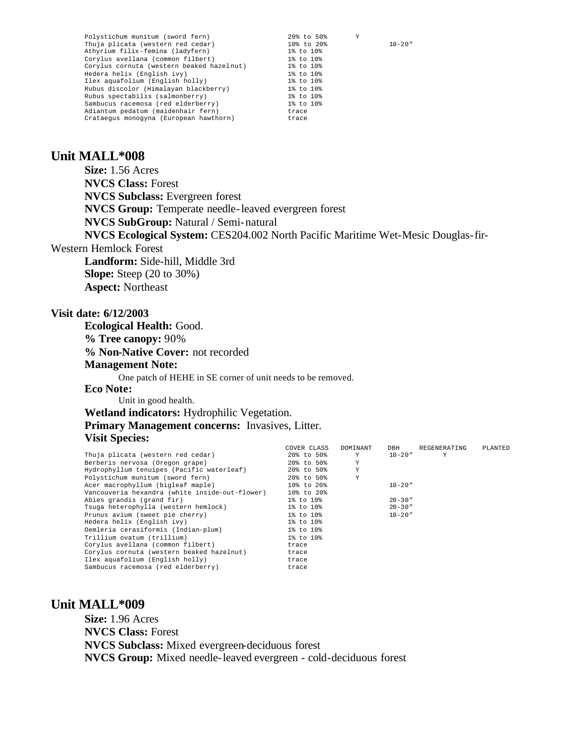| Polystichum munitum (sword fern)          | 20% to 50%<br>Y           |
|-------------------------------------------|---------------------------|
| Thuja plicata (western red cedar)         | $10 - 20$ "<br>10% to 20% |
| Athyrium filix-femina (ladyfern)          | 1% to 10%                 |
| Corylus avellana (common filbert)         | $1\%$ to $10\%$           |
| Corylus cornuta (western beaked hazelnut) | 1% to 10%                 |
| Hedera helix (English ivy)                | 1% to 10%                 |
| Ilex aquafolium (English holly)           | 1% to 10%                 |
| Rubus discolor (Himalayan blackberry)     | 1% to 10%                 |
| Rubus spectabilis (salmonberry)           | $1\%$ to $10\%$           |
| Sambucus racemosa (red elderberry)        | 1% to 10%                 |
| Adiantum pedatum (maidenhair fern)        | trace                     |
| Crataequs monoqyna (European hawthorn)    | trace                     |

# **Unit MALL\*008**

**Size:** 1.56 Acres **NVCS Class:** Forest **NVCS Subclass:** Evergreen forest **NVCS Group:** Temperate needle-leaved evergreen forest **NVCS SubGroup:** Natural / Semi-natural **NVCS Ecological System:** CES204.002 North Pacific Maritime Wet-Mesic Douglas-fir-Western Hemlock Forest **Landform:** Side-hill, Middle 3rd **Slope:** Steep (20 to 30%) **Aspect:** Northeast **Visit date: 6/12/2003 Ecological Health:** Good.

**% Tree canopy:** 90% **% Non-Native Cover:** not recorded **Management Note:** One patch of HEHE in SE corner of unit needs to be removed.

#### **Eco Note:**

Unit in good health.

**Wetland indicators:** Hydrophilic Vegetation. **Primary Management concerns:** Invasives, Litter. **Visit Species:** 

|                                                | COVER CLASS | DOMINANT | DBH         | REGENERATING | PLANTED |
|------------------------------------------------|-------------|----------|-------------|--------------|---------|
| Thuja plicata (western red cedar)              | 20% to 50%  | Y        | $10 - 20$ " | Y            |         |
| Berberis nervosa (Oregon grape)                | 20% to 50%  | Y        |             |              |         |
| Hydrophyllum tenuipes (Pacific waterleaf)      | 20% to 50%  | Y        |             |              |         |
| Polystichum munitum (sword fern)               | 20% to 50%  | Y        |             |              |         |
| Acer macrophyllum (bigleaf maple)              | 10% to 20%  |          | $10 - 20$ " |              |         |
| Vancouveria hexandra (white inside-out-flower) | 10% to 20%  |          |             |              |         |
| Abies grandis (grand fir)                      | 1% to 10%   |          | $20 - 30$ " |              |         |
| Tsuga heterophylla (western hemlock)           | 1% to 10%   |          | $20 - 30$ " |              |         |
| Prunus avium (sweet pie cherry)                | 1% to 10%   |          | $10 - 20$ " |              |         |
| Hedera helix (English ivy)                     | 1% to 10%   |          |             |              |         |
| Oemleria cerasiformis (Indian-plum)            | 1% to 10%   |          |             |              |         |
| Trillium ovatum (trillium)                     | 1% to 10%   |          |             |              |         |
| Corylus avellana (common filbert)              | trace       |          |             |              |         |
| Corylus cornuta (western beaked hazelnut)      | trace       |          |             |              |         |
| Ilex aquafolium (English holly)                | trace       |          |             |              |         |
| Sambucus racemosa (red elderberry)             | trace       |          |             |              |         |

# **Unit MALL\*009**

**Size:** 1.96 Acres **NVCS Class:** Forest **NVCS Subclass:** Mixed evergreen-deciduous forest **NVCS Group:** Mixed needle-leaved evergreen - cold-deciduous forest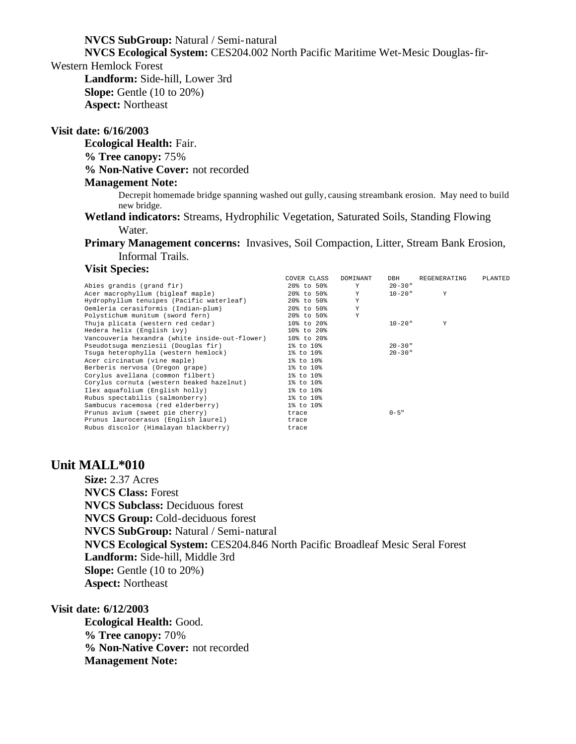**NVCS SubGroup:** Natural / Semi-natural

**NVCS Ecological System:** CES204.002 North Pacific Maritime Wet-Mesic Douglas-fir-

Western Hemlock Forest

**Landform:** Side-hill, Lower 3rd **Slope:** Gentle (10 to 20%) **Aspect:** Northeast

### **Visit date: 6/16/2003**

**Ecological Health:** Fair.

**% Tree canopy:** 75%

**% Non-Native Cover:** not recorded

### **Management Note:**

Decrepit homemade bridge spanning washed out gully, causing streambank erosion. May need to build new bridge.

**Wetland indicators:** Streams, Hydrophilic Vegetation, Saturated Soils, Standing Flowing Water.

**Primary Management concerns:** Invasives, Soil Compaction, Litter, Stream Bank Erosion, Informal Trails.

### **Visit Species:**

|                                                | COVER CLASS | DOMINANT    | DBH         | REGENERATING | PLANTED |
|------------------------------------------------|-------------|-------------|-------------|--------------|---------|
| Abies grandis (grand fir)                      | 20% to 50%  | Y           | $20 - 30$ " |              |         |
| Acer macrophyllum (bigleaf maple)              | 20% to 50%  | Y           | $10 - 20$ " | Y            |         |
| Hydrophyllum tenuipes (Pacific waterleaf)      | 20% to 50%  | Y           |             |              |         |
| Oemleria cerasiformis (Indian-plum)            | 20% to 50%  | Y           |             |              |         |
| Polystichum munitum (sword fern)               | 20% to 50%  | $\mathbf Y$ |             |              |         |
| Thuja plicata (western red cedar)              | 10% to 20%  |             | $10 - 20$ " | Y            |         |
| Hedera helix (English ivy)                     | 10% to 20%  |             |             |              |         |
| Vancouveria hexandra (white inside-out-flower) | 10% to 20%  |             |             |              |         |
| Pseudotsuga menziesii (Douglas fir)            | 1% to 10%   |             | $20 - 30$ " |              |         |
| Tsuga heterophylla (western hemlock)           | 1% to 10%   |             | $20 - 30$ " |              |         |
| Acer circinatum (vine maple)                   | 1% to 10%   |             |             |              |         |
| Berberis nervosa (Oregon grape)                | 1% to 10%   |             |             |              |         |
| Corylus avellana (common filbert)              | 1% to 10%   |             |             |              |         |
| Corylus cornuta (western beaked hazelnut)      | 1% to 10%   |             |             |              |         |
| Ilex aquafolium (English holly)                | 1% to 10%   |             |             |              |         |
| Rubus spectabilis (salmonberry)                | 1% to 10%   |             |             |              |         |
| Sambucus racemosa (red elderberry)             | 1% to 10%   |             |             |              |         |
| Prunus avium (sweet pie cherry)                | trace       |             | $0 - 5"$    |              |         |
| Prunus laurocerasus (English laurel)           | trace       |             |             |              |         |
| Rubus discolor (Himalayan blackberry)          | trace       |             |             |              |         |

## **Unit MALL\*010**

**Size:** 2.37 Acres **NVCS Class:** Forest **NVCS Subclass:** Deciduous forest **NVCS Group:** Cold-deciduous forest **NVCS SubGroup:** Natural / Semi-natural **NVCS Ecological System:** CES204.846 North Pacific Broadleaf Mesic Seral Forest **Landform:** Side-hill, Middle 3rd **Slope:** Gentle (10 to 20%) **Aspect:** Northeast

### **Visit date: 6/12/2003**

**Ecological Health:** Good. **% Tree canopy:** 70% **% Non-Native Cover:** not recorded **Management Note:**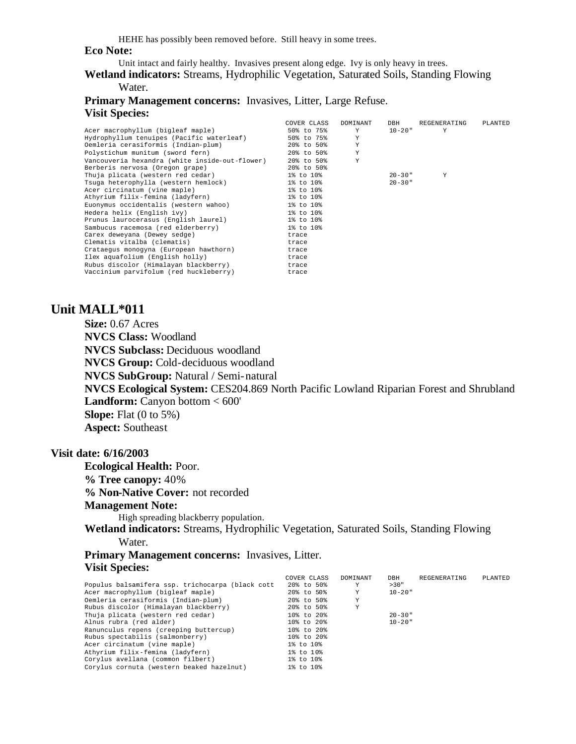HEHE has possibly been removed before. Still heavy in some trees.

#### **Eco Note:**

Unit intact and fairly healthy. Invasives present along edge. Ivy is only heavy in trees.

**Wetland indicators:** Streams, Hydrophilic Vegetation, Saturated Soils, Standing Flowing Water.

# **Primary Management concerns:** Invasives, Litter, Large Refuse. **Visit Species:**

|                                                | COVER CLASS | DOMINANT | DBH         | REGENERATING | PLANTED |
|------------------------------------------------|-------------|----------|-------------|--------------|---------|
| Acer macrophyllum (bigleaf maple)              | 50% to 75%  | Y        | 10-20"      | Y            |         |
| Hydrophyllum tenuipes (Pacific waterleaf)      | 50% to 75%  | Y        |             |              |         |
| Oemleria cerasiformis (Indian-plum)            | 20% to 50%  | Y        |             |              |         |
| Polystichum munitum (sword fern)               | 20% to 50%  | Y        |             |              |         |
| Vancouveria hexandra (white inside-out-flower) | 20% to 50%  | Y        |             |              |         |
| Berberis nervosa (Oregon grape)                | 20% to 50%  |          |             |              |         |
| Thuja plicata (western red cedar)              | 1% to 10%   |          | $20 - 30$ " | Y            |         |
| Tsuga heterophylla (western hemlock)           | 1% to 10%   |          | $20 - 30$ " |              |         |
| Acer circinatum (vine maple)                   | 1% to 10%   |          |             |              |         |
| Athyrium filix-femina (ladyfern)               | 1% to 10%   |          |             |              |         |
| Euonymus occidentalis (western wahoo)          | 1% to 10%   |          |             |              |         |
| Hedera helix (English ivy)                     | 1% to 10%   |          |             |              |         |
| Prunus laurocerasus (English laurel)           | 1% to 10%   |          |             |              |         |
| Sambucus racemosa (red elderberry)             | 1% to 10%   |          |             |              |         |
| Carex deweyana (Dewey sedge)                   | trace       |          |             |              |         |
| Clematis vitalba (clematis)                    | trace       |          |             |              |         |
| Crataequs monoqyna (European hawthorn)         | trace       |          |             |              |         |
| Ilex aquafolium (English holly)                | trace       |          |             |              |         |
| Rubus discolor (Himalayan blackberry)          | trace       |          |             |              |         |
| Vaccinium parvifolum (red huckleberry)         | trace       |          |             |              |         |
|                                                |             |          |             |              |         |

# **Unit MALL\*011**

**Size:** 0.67 Acres **NVCS Class:** Woodland **NVCS Subclass:** Deciduous woodland **NVCS Group:** Cold-deciduous woodland **NVCS SubGroup:** Natural / Semi-natural **NVCS Ecological System:** CES204.869 North Pacific Lowland Riparian Forest and Shrubland **Landform:** Canyon bottom < 600' **Slope:** Flat (0 to 5%) **Aspect:** Southeast

### **Visit date: 6/16/2003**

**Ecological Health:** Poor. **% Tree canopy:** 40% **% Non-Native Cover:** not recorded

### **Management Note:**

High spreading blackberry population.

**Wetland indicators:** Streams, Hydrophilic Vegetation, Saturated Soils, Standing Flowing Water.

**Primary Management concerns:** Invasives, Litter. **Visit Species:** 

|                                                  | COVER CLASS      | DOMINANT | DBH         | REGENERATING | PLANTED |
|--------------------------------------------------|------------------|----------|-------------|--------------|---------|
| Populus balsamifera ssp. trichocarpa (black cott | 20% to 50%       | Y        | >30"        |              |         |
| Acer macrophyllum (bigleaf maple)                | 20% to 50%       | Y        | $10 - 20$ " |              |         |
| Oemleria cerasiformis (Indian-plum)              | 20% to 50%       | Υ        |             |              |         |
| Rubus discolor (Himalayan blackberry)            | 20% to 50%       | Υ        |             |              |         |
| Thuja plicata (western red cedar)                | 10% to 20%       |          | $20 - 30$ " |              |         |
| Alnus rubra (red alder)                          | $10\%$ to $20\%$ |          | $10 - 20$ " |              |         |
| Ranunculus repens (creeping buttercup)           | 10% to 20%       |          |             |              |         |
| Rubus spectabilis (salmonberry)                  | 10% to 20%       |          |             |              |         |
| Acer circinatum (vine maple)                     | 1% to 10%        |          |             |              |         |
| Athyrium filix-femina (ladyfern)                 | 1% to 10%        |          |             |              |         |
| Corylus avellana (common filbert)                | 1% to 10%        |          |             |              |         |
| Corylus cornuta (western beaked hazelnut)        | 1% to 10%        |          |             |              |         |